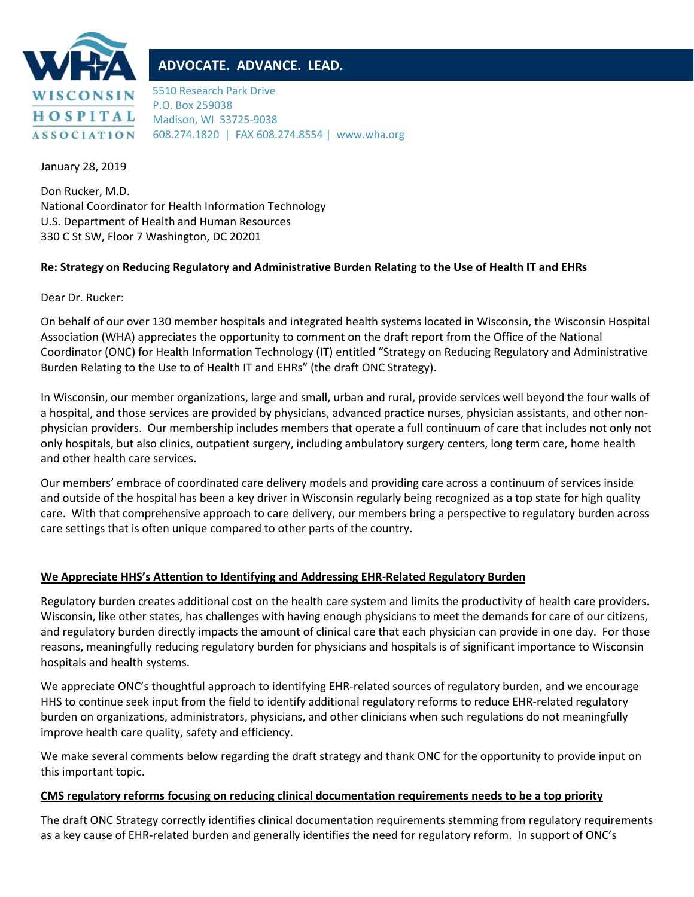

# **ADVOCATE. ADVANCE. LEAD.**

5510 Research Park Drive P.O. Box 259038 Madison, WI 53725-9038 608.274.1820 | FAX 608.274.8554 | www.wha.org

January 28, 2019

Don Rucker, M.D. National Coordinator for Health Information Technology U.S. Department of Health and Human Resources 330 C St SW, Floor 7 Washington, DC 20201

### **Re: Strategy on Reducing Regulatory and Administrative Burden Relating to the Use of Health IT and EHRs**

Dear Dr. Rucker:

On behalf of our over 130 member hospitals and integrated health systems located in Wisconsin, the Wisconsin Hospital Association (WHA) appreciates the opportunity to comment on the draft report from the Office of the National Coordinator (ONC) for Health Information Technology (IT) entitled "Strategy on Reducing Regulatory and Administrative Burden Relating to the Use to of Health IT and EHRs" (the draft ONC Strategy).

In Wisconsin, our member organizations, large and small, urban and rural, provide services well beyond the four walls of a hospital, and those services are provided by physicians, advanced practice nurses, physician assistants, and other nonphysician providers. Our membership includes members that operate a full continuum of care that includes not only not only hospitals, but also clinics, outpatient surgery, including ambulatory surgery centers, long term care, home health and other health care services.

Our members' embrace of coordinated care delivery models and providing care across a continuum of services inside and outside of the hospital has been a key driver in Wisconsin regularly being recognized as a top state for high quality care. With that comprehensive approach to care delivery, our members bring a perspective to regulatory burden across care settings that is often unique compared to other parts of the country.

# **We Appreciate HHS's Attention to Identifying and Addressing EHR-Related Regulatory Burden**

Regulatory burden creates additional cost on the health care system and limits the productivity of health care providers. Wisconsin, like other states, has challenges with having enough physicians to meet the demands for care of our citizens, and regulatory burden directly impacts the amount of clinical care that each physician can provide in one day. For those reasons, meaningfully reducing regulatory burden for physicians and hospitals is of significant importance to Wisconsin hospitals and health systems.

We appreciate ONC's thoughtful approach to identifying EHR-related sources of regulatory burden, and we encourage HHS to continue seek input from the field to identify additional regulatory reforms to reduce EHR-related regulatory burden on organizations, administrators, physicians, and other clinicians when such regulations do not meaningfully improve health care quality, safety and efficiency.

We make several comments below regarding the draft strategy and thank ONC for the opportunity to provide input on this important topic.

#### **CMS regulatory reforms focusing on reducing clinical documentation requirements needs to be a top priority**

The draft ONC Strategy correctly identifies clinical documentation requirements stemming from regulatory requirements as a key cause of EHR-related burden and generally identifies the need for regulatory reform. In support of ONC's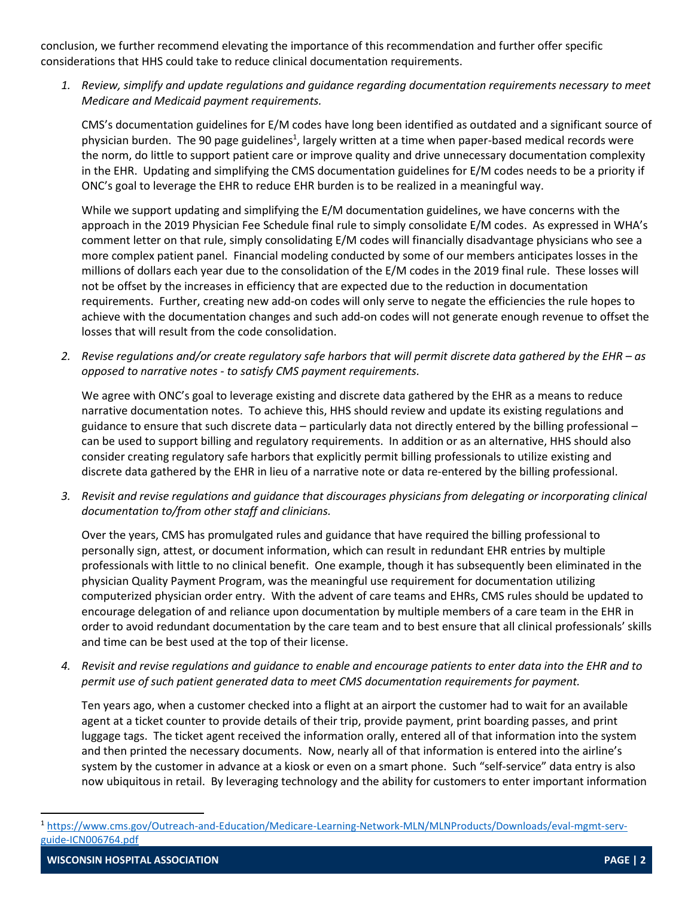conclusion, we further recommend elevating the importance of this recommendation and further offer specific considerations that HHS could take to reduce clinical documentation requirements.

*1. Review, simplify and update regulations and guidance regarding documentation requirements necessary to meet Medicare and Medicaid payment requirements.* 

CMS's documentation guidelines for E/M codes have long been identified as outdated and a significant source of physician burden. The 90 page guidelines<sup>1</sup>, largely written at a time when paper-based medical records were the norm, do little to support patient care or improve quality and drive unnecessary documentation complexity in the EHR. Updating and simplifying the CMS documentation guidelines for E/M codes needs to be a priority if ONC's goal to leverage the EHR to reduce EHR burden is to be realized in a meaningful way.

While we support updating and simplifying the E/M documentation guidelines, we have concerns with the approach in the 2019 Physician Fee Schedule final rule to simply consolidate E/M codes. As expressed in WHA's comment letter on that rule, simply consolidating E/M codes will financially disadvantage physicians who see a more complex patient panel. Financial modeling conducted by some of our members anticipates losses in the millions of dollars each year due to the consolidation of the E/M codes in the 2019 final rule. These losses will not be offset by the increases in efficiency that are expected due to the reduction in documentation requirements. Further, creating new add-on codes will only serve to negate the efficiencies the rule hopes to achieve with the documentation changes and such add-on codes will not generate enough revenue to offset the losses that will result from the code consolidation.

*2. Revise regulations and/or create regulatory safe harbors that will permit discrete data gathered by the EHR – as opposed to narrative notes - to satisfy CMS payment requirements.*

We agree with ONC's goal to leverage existing and discrete data gathered by the EHR as a means to reduce narrative documentation notes. To achieve this, HHS should review and update its existing regulations and guidance to ensure that such discrete data – particularly data not directly entered by the billing professional – can be used to support billing and regulatory requirements. In addition or as an alternative, HHS should also consider creating regulatory safe harbors that explicitly permit billing professionals to utilize existing and discrete data gathered by the EHR in lieu of a narrative note or data re-entered by the billing professional.

*3. Revisit and revise regulations and guidance that discourages physicians from delegating or incorporating clinical documentation to/from other staff and clinicians.* 

Over the years, CMS has promulgated rules and guidance that have required the billing professional to personally sign, attest, or document information, which can result in redundant EHR entries by multiple professionals with little to no clinical benefit. One example, though it has subsequently been eliminated in the physician Quality Payment Program, was the meaningful use requirement for documentation utilizing computerized physician order entry. With the advent of care teams and EHRs, CMS rules should be updated to encourage delegation of and reliance upon documentation by multiple members of a care team in the EHR in order to avoid redundant documentation by the care team and to best ensure that all clinical professionals' skills and time can be best used at the top of their license.

*4. Revisit and revise regulations and guidance to enable and encourage patients to enter data into the EHR and to permit use of such patient generated data to meet CMS documentation requirements for payment.* 

Ten years ago, when a customer checked into a flight at an airport the customer had to wait for an available agent at a ticket counter to provide details of their trip, provide payment, print boarding passes, and print luggage tags. The ticket agent received the information orally, entered all of that information into the system and then printed the necessary documents. Now, nearly all of that information is entered into the airline's system by the customer in advance at a kiosk or even on a smart phone. Such "self-service" data entry is also now ubiquitous in retail. By leveraging technology and the ability for customers to enter important information

 $\overline{a}$ 

<sup>1</sup> [https://www.cms.gov/Outreach-and-Education/Medicare-Learning-Network-MLN/MLNProducts/Downloads/eval-mgmt-serv](https://www.cms.gov/Outreach-and-Education/Medicare-Learning-Network-MLN/MLNProducts/Downloads/eval-mgmt-serv-guide-ICN006764.pdf)[guide-ICN006764.pdf](https://www.cms.gov/Outreach-and-Education/Medicare-Learning-Network-MLN/MLNProducts/Downloads/eval-mgmt-serv-guide-ICN006764.pdf)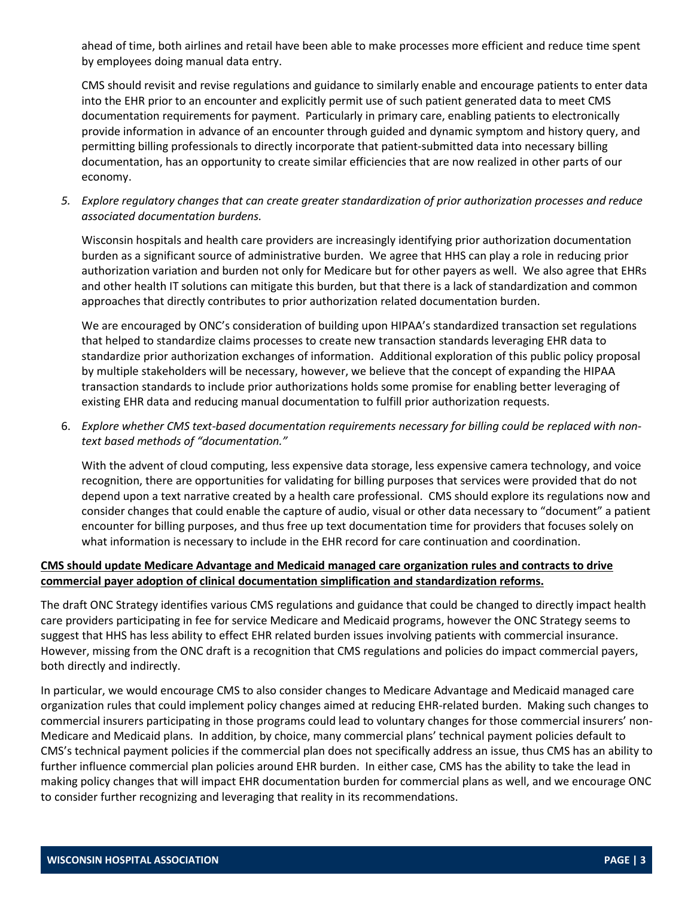ahead of time, both airlines and retail have been able to make processes more efficient and reduce time spent by employees doing manual data entry.

CMS should revisit and revise regulations and guidance to similarly enable and encourage patients to enter data into the EHR prior to an encounter and explicitly permit use of such patient generated data to meet CMS documentation requirements for payment. Particularly in primary care, enabling patients to electronically provide information in advance of an encounter through guided and dynamic symptom and history query, and permitting billing professionals to directly incorporate that patient-submitted data into necessary billing documentation, has an opportunity to create similar efficiencies that are now realized in other parts of our economy.

*5. Explore regulatory changes that can create greater standardization of prior authorization processes and reduce associated documentation burdens.* 

Wisconsin hospitals and health care providers are increasingly identifying prior authorization documentation burden as a significant source of administrative burden. We agree that HHS can play a role in reducing prior authorization variation and burden not only for Medicare but for other payers as well. We also agree that EHRs and other health IT solutions can mitigate this burden, but that there is a lack of standardization and common approaches that directly contributes to prior authorization related documentation burden.

We are encouraged by ONC's consideration of building upon HIPAA's standardized transaction set regulations that helped to standardize claims processes to create new transaction standards leveraging EHR data to standardize prior authorization exchanges of information. Additional exploration of this public policy proposal by multiple stakeholders will be necessary, however, we believe that the concept of expanding the HIPAA transaction standards to include prior authorizations holds some promise for enabling better leveraging of existing EHR data and reducing manual documentation to fulfill prior authorization requests.

6. *Explore whether CMS text-based documentation requirements necessary for billing could be replaced with nontext based methods of "documentation."* 

With the advent of cloud computing, less expensive data storage, less expensive camera technology, and voice recognition, there are opportunities for validating for billing purposes that services were provided that do not depend upon a text narrative created by a health care professional. CMS should explore its regulations now and consider changes that could enable the capture of audio, visual or other data necessary to "document" a patient encounter for billing purposes, and thus free up text documentation time for providers that focuses solely on what information is necessary to include in the EHR record for care continuation and coordination.

### **CMS should update Medicare Advantage and Medicaid managed care organization rules and contracts to drive commercial payer adoption of clinical documentation simplification and standardization reforms.**

The draft ONC Strategy identifies various CMS regulations and guidance that could be changed to directly impact health care providers participating in fee for service Medicare and Medicaid programs, however the ONC Strategy seems to suggest that HHS has less ability to effect EHR related burden issues involving patients with commercial insurance. However, missing from the ONC draft is a recognition that CMS regulations and policies do impact commercial payers, both directly and indirectly.

In particular, we would encourage CMS to also consider changes to Medicare Advantage and Medicaid managed care organization rules that could implement policy changes aimed at reducing EHR-related burden. Making such changes to commercial insurers participating in those programs could lead to voluntary changes for those commercial insurers' non-Medicare and Medicaid plans. In addition, by choice, many commercial plans' technical payment policies default to CMS's technical payment policies if the commercial plan does not specifically address an issue, thus CMS has an ability to further influence commercial plan policies around EHR burden. In either case, CMS has the ability to take the lead in making policy changes that will impact EHR documentation burden for commercial plans as well, and we encourage ONC to consider further recognizing and leveraging that reality in its recommendations.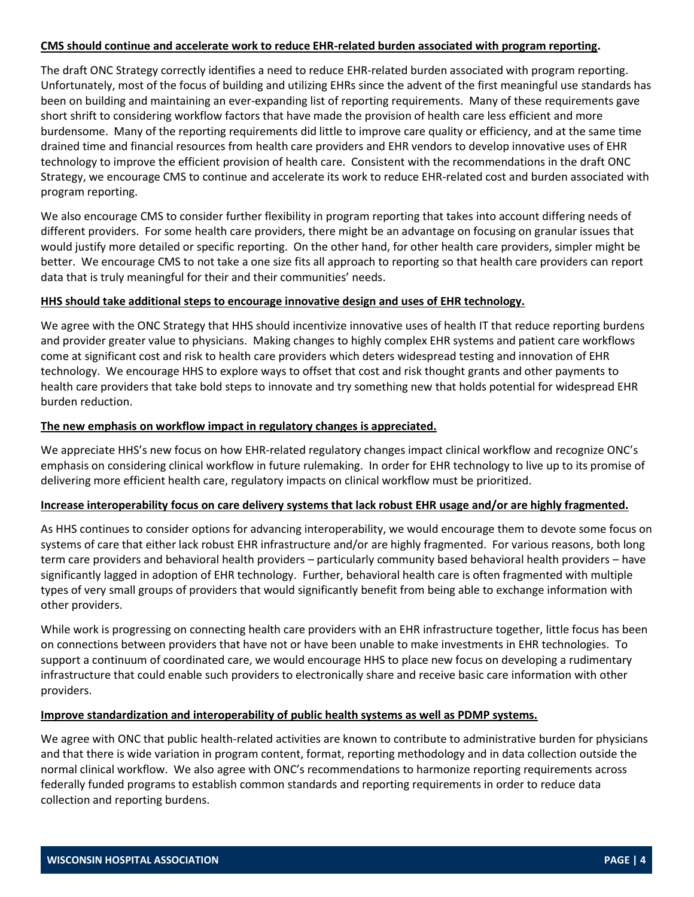#### **CMS should continue and accelerate work to reduce EHR-related burden associated with program reporting.**

The draft ONC Strategy correctly identifies a need to reduce EHR-related burden associated with program reporting. Unfortunately, most of the focus of building and utilizing EHRs since the advent of the first meaningful use standards has been on building and maintaining an ever-expanding list of reporting requirements. Many of these requirements gave short shrift to considering workflow factors that have made the provision of health care less efficient and more burdensome. Many of the reporting requirements did little to improve care quality or efficiency, and at the same time drained time and financial resources from health care providers and EHR vendors to develop innovative uses of EHR technology to improve the efficient provision of health care. Consistent with the recommendations in the draft ONC Strategy, we encourage CMS to continue and accelerate its work to reduce EHR-related cost and burden associated with program reporting.

We also encourage CMS to consider further flexibility in program reporting that takes into account differing needs of different providers. For some health care providers, there might be an advantage on focusing on granular issues that would justify more detailed or specific reporting. On the other hand, for other health care providers, simpler might be better. We encourage CMS to not take a one size fits all approach to reporting so that health care providers can report data that is truly meaningful for their and their communities' needs.

### **HHS should take additional steps to encourage innovative design and uses of EHR technology.**

We agree with the ONC Strategy that HHS should incentivize innovative uses of health IT that reduce reporting burdens and provider greater value to physicians. Making changes to highly complex EHR systems and patient care workflows come at significant cost and risk to health care providers which deters widespread testing and innovation of EHR technology. We encourage HHS to explore ways to offset that cost and risk thought grants and other payments to health care providers that take bold steps to innovate and try something new that holds potential for widespread EHR burden reduction.

#### **The new emphasis on workflow impact in regulatory changes is appreciated.**

We appreciate HHS's new focus on how EHR-related regulatory changes impact clinical workflow and recognize ONC's emphasis on considering clinical workflow in future rulemaking. In order for EHR technology to live up to its promise of delivering more efficient health care, regulatory impacts on clinical workflow must be prioritized.

### **Increase interoperability focus on care delivery systems that lack robust EHR usage and/or are highly fragmented.**

As HHS continues to consider options for advancing interoperability, we would encourage them to devote some focus on systems of care that either lack robust EHR infrastructure and/or are highly fragmented. For various reasons, both long term care providers and behavioral health providers – particularly community based behavioral health providers – have significantly lagged in adoption of EHR technology. Further, behavioral health care is often fragmented with multiple types of very small groups of providers that would significantly benefit from being able to exchange information with other providers.

While work is progressing on connecting health care providers with an EHR infrastructure together, little focus has been on connections between providers that have not or have been unable to make investments in EHR technologies. To support a continuum of coordinated care, we would encourage HHS to place new focus on developing a rudimentary infrastructure that could enable such providers to electronically share and receive basic care information with other providers.

### **Improve standardization and interoperability of public health systems as well as PDMP systems.**

We agree with ONC that public health-related activities are known to contribute to administrative burden for physicians and that there is wide variation in program content, format, reporting methodology and in data collection outside the normal clinical workflow. We also agree with ONC's recommendations to harmonize reporting requirements across federally funded programs to establish common standards and reporting requirements in order to reduce data collection and reporting burdens.